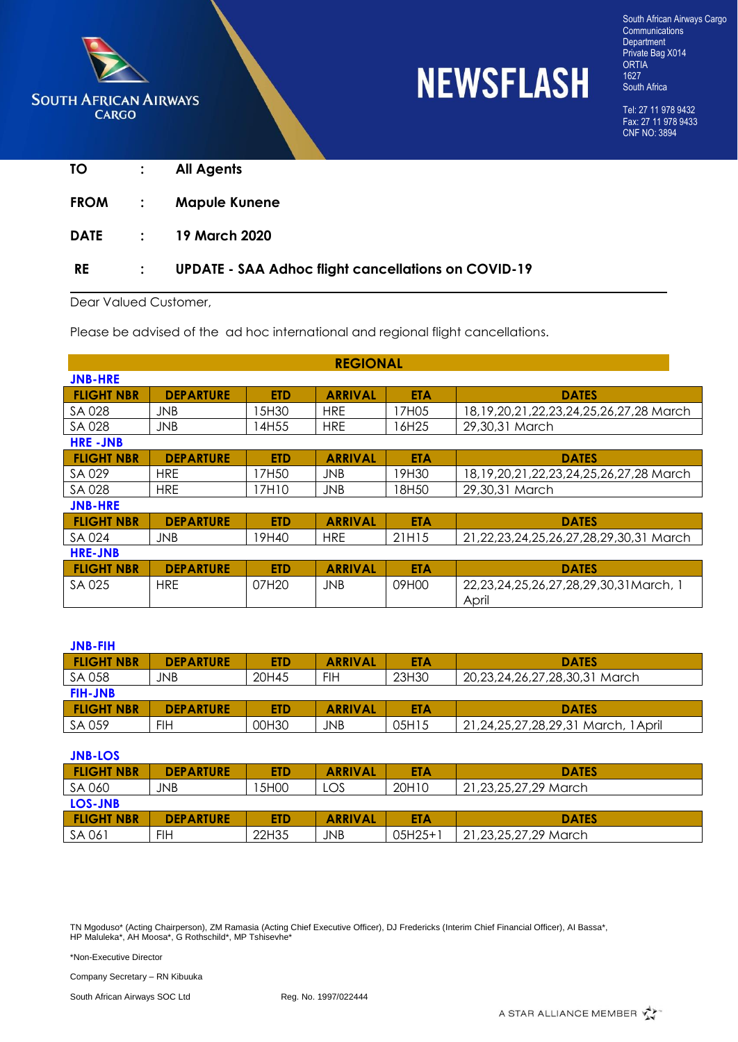

# **NEWSFLASH**

South African Airways Cargo **Communications Department** Private Bag X014 ORTIA 1627 South Africa

Tel: 27 11 978 9432 Fax: 27 11 978 9433 CNF NO: 3894

| TΟ          |                | <b>All Agents</b>                                          |
|-------------|----------------|------------------------------------------------------------|
| <b>FROM</b> | $\mathbb{R}^2$ | <b>Mapule Kunene</b>                                       |
| <b>DATE</b> | $\mathcal{L}$  | 19 March 2020                                              |
| <b>RE</b>   |                | <b>UPDATE - SAA Adhoc flight cancellations on COVID-19</b> |

Dear Valued Customer,

Please be advised of the ad hoc international and regional flight cancellations.

|                   | <b>REGIONAL</b>  |            |                |            |                                                  |  |  |  |
|-------------------|------------------|------------|----------------|------------|--------------------------------------------------|--|--|--|
| <b>JNB-HRE</b>    |                  |            |                |            |                                                  |  |  |  |
| <b>FLIGHT NBR</b> | <b>DEPARTURE</b> | <b>ETD</b> | <b>ARRIVAL</b> | <b>ETA</b> | <b>DATES</b>                                     |  |  |  |
| SA 028            | <b>JNB</b>       | 5H30       | <b>HRE</b>     | 17H05      | 18, 19, 20, 21, 22, 23, 24, 25, 26, 27, 28 March |  |  |  |
| SA 028            | JNB.             | l 4H55     | <b>HRE</b>     | 16H25      | 29,30,31 March                                   |  |  |  |
| <b>HRE-JNB</b>    |                  |            |                |            |                                                  |  |  |  |
| <b>FLIGHT NBR</b> | <b>DEPARTURE</b> | <b>ETD</b> | <b>ARRIVAL</b> | <b>ETA</b> | <b>DATES</b>                                     |  |  |  |
| SA 029            | <b>HRE</b>       | 17H50      | <b>JNB</b>     | 19H30      | 18, 19, 20, 21, 22, 23, 24, 25, 26, 27, 28 March |  |  |  |
| SA 028            | <b>HRE</b>       | 17H10      | <b>JNB</b>     | 18H50      | 29,30,31 March                                   |  |  |  |
| <b>JNB-HRE</b>    |                  |            |                |            |                                                  |  |  |  |
| <b>FLIGHT NBR</b> | <b>DEPARTURE</b> | <b>ETD</b> | <b>ARRIVAL</b> | <b>ETA</b> | <b>DATES</b>                                     |  |  |  |
| SA 024            | <b>JNB</b>       | 19H40      | <b>HRE</b>     | 21H15      | 21,22,23,24,25,26,27,28,29,30,31 March           |  |  |  |
| <b>HRE-JNB</b>    |                  |            |                |            |                                                  |  |  |  |
| <b>FLIGHT NBR</b> | <b>DEPARTURE</b> | <b>ETD</b> | <b>ARRIVAL</b> | <b>ETA</b> | <b>DATES</b>                                     |  |  |  |
| SA 025            | <b>HRE</b>       | 07H20      | <b>JNB</b>     | 09H00      | 22,23,24,25,26,27,28,29,30,31 March, 1           |  |  |  |
|                   |                  |            |                |            | April                                            |  |  |  |

| <b>JNB-FIH</b>    |                  |            |                |       |                                     |
|-------------------|------------------|------------|----------------|-------|-------------------------------------|
| <b>FLIGHT NBR</b> | <b>DEPARTURE</b> | <b>ETD</b> | <b>ARRIVAL</b> | ETA   | <b>DATES</b>                        |
| SA 058            | JNB              | 20H45      | FIH            | 23H30 | 20,23,24,26,27,28,30,31 March       |
| <b>FIH-JNB</b>    |                  |            |                |       |                                     |
| <b>FLIGHT NBR</b> | <b>DEPARTURE</b> | ETD.       | <b>ARRIVAL</b> | ETA   | <b>DATES</b>                        |
| SA 059            | FIH              | 00H30      | JNB.           | 05H15 | 21,24,25,27,28,29,31 March, 1 April |

| <b>JNB-LOS</b>    |                  |            |                |            |                      |  |  |  |
|-------------------|------------------|------------|----------------|------------|----------------------|--|--|--|
| <b>FLIGHT NBR</b> | <b>DEPARTURE</b> | <b>ETD</b> | <b>ARRIVAL</b> | <b>ETA</b> | <b>DATES</b>         |  |  |  |
| SA 060            | JNB              | 5H00       | LOS            | 20H10      | 21,23,25,27,29 March |  |  |  |
| LOS-JNB           |                  |            |                |            |                      |  |  |  |
| <b>FLIGHT NBR</b> | <b>DEPARTURE</b> | <b>ETD</b> | <b>ARRIVAL</b> | <b>ETA</b> | <b>DATES</b>         |  |  |  |
| SA 061            | FIH              | 22H35      | JNB.           | $05H25+1$  | 21,23,25,27,29 March |  |  |  |

TN Mgoduso\* (Acting Chairperson), ZM Ramasia (Acting Chief Executive Officer), DJ Fredericks (Interim Chief Financial Officer), AI Bassa\*, HP Maluleka\*, AH Moosa\*, G Rothschild\*, MP Tshisevhe\*

\*Non-Executive Director

Company Secretary – RN Kibuuka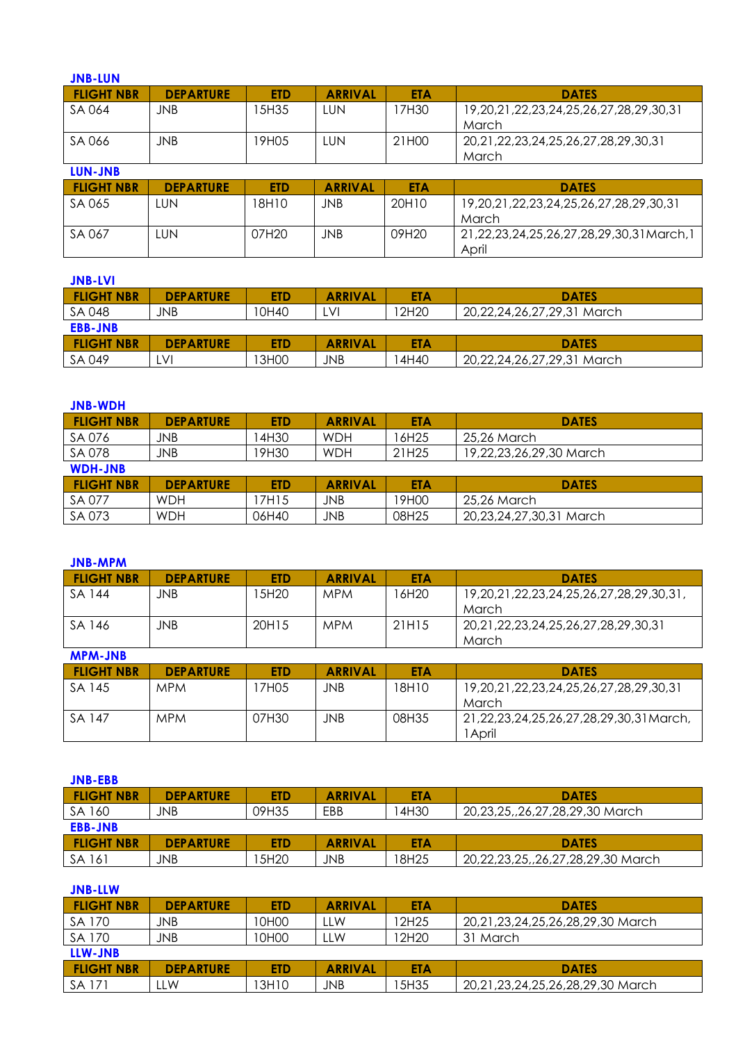| <b>JNB-LUN</b>    |                  |            |                |            |                                                             |
|-------------------|------------------|------------|----------------|------------|-------------------------------------------------------------|
| <b>FLIGHT NBR</b> | <b>DEPARTURE</b> | <b>ETD</b> | <b>ARRIVAL</b> | <b>ETA</b> | <b>DATES</b>                                                |
| SA 064            | <b>JNB</b>       | 15H35      | LUN            | 17H30      | 19, 20, 21, 22, 23, 24, 25, 26, 27, 28, 29, 30, 31<br>March |
| SA 066            | <b>JNB</b>       | 19H05      | LUN            | 21H00      | 20, 21, 22, 23, 24, 25, 26, 27, 28, 29, 30, 31<br>March     |
| <b>LUN-JNB</b>    |                  |            |                |            |                                                             |
| <b>FLIGHT NBR</b> | <b>DEPARTURE</b> | <b>ETD</b> | <b>ARRIVAL</b> | <b>ETA</b> | <b>DATES</b>                                                |
| SA 065            | <b>LUN</b>       | 18H10      | <b>JNB</b>     | 20H10      | 19,20,21,22,23,24,25,26,27,28,29,30,31<br>March             |
| SA 067            | <b>LUN</b>       | 07H20      | JNB            | 09H20      | 21,22,23,24,25,26,27,28,29,30,31March,1<br>April            |

| <b>JNB-LVI</b>    |                  |            |                |            |                            |  |  |  |
|-------------------|------------------|------------|----------------|------------|----------------------------|--|--|--|
| <b>FLIGHT NBR</b> | <b>DEPARTURE</b> | <b>ETD</b> | <b>ARRIVAL</b> | <b>ETA</b> | <b>DATES</b>               |  |  |  |
| SA 048            | JNB              | 10H40      | LVI            | 12H20      | 20,22,24,26,27,29,31 March |  |  |  |
| <b>EBB-JNB</b>    |                  |            |                |            |                            |  |  |  |
| <b>FLIGHT NBR</b> | <b>DEPARTURE</b> | ETD.       | <b>ARRIVAL</b> | ETA        | <b>DATES</b>               |  |  |  |
| SA 049            | .VI              | 13H00      | JNB            | l 4H40     | 20,22,24,26,27,29,31 March |  |  |  |

| <b>JNB-WDH</b>    |                  |            |                |            |                         |  |  |  |
|-------------------|------------------|------------|----------------|------------|-------------------------|--|--|--|
| <b>FLIGHT NBR</b> | <b>DEPARTURE</b> | <b>ETD</b> | <b>ARRIVAL</b> | <b>ETA</b> | <b>DATES</b>            |  |  |  |
| SA 076            | JNB              | 14H30      | <b>WDH</b>     | 16H25      | 25,26 March             |  |  |  |
| SA 078            | JNB              | 19H30      | <b>WDH</b>     | 21H25      | 19,22,23,26,29,30 March |  |  |  |
| <b>WDH-JNB</b>    |                  |            |                |            |                         |  |  |  |
| <b>FLIGHT NBR</b> | <b>DEPARTURE</b> | <b>ETD</b> | <b>ARRIVAL</b> | <b>ETA</b> | <b>DATES</b>            |  |  |  |
| SA 077            | <b>WDH</b>       | 7H15       | JNB            | 19H00      | 25,26 March             |  |  |  |
| SA 073            | <b>WDH</b>       | 06H40      | JNB            | 08H25      | 20,23,24,27,30,31 March |  |  |  |

| <b>JNB-MPM</b>    |                  |            |                |            |                                                  |
|-------------------|------------------|------------|----------------|------------|--------------------------------------------------|
| <b>FLIGHT NBR</b> | <b>DEPARTURE</b> | <b>ETD</b> | <b>ARRIVAL</b> | <b>ETA</b> | <b>DATES</b>                                     |
| SA 144            | JNB              | 15H20      | <b>MPM</b>     | 16H20      | 19,20,21,22,23,24,25,26,27,28,29,30,31,<br>March |
| SA 146            | <b>JNB</b>       | 20H15      | <b>MPM</b>     | 21H15      | 20,21,22,23,24,25,26,27,28,29,30,31<br>March     |
| <b>MPM-JNB</b>    |                  |            |                |            |                                                  |
|                   |                  |            |                |            |                                                  |
| <b>FLIGHT NBR</b> | <b>DEPARTURE</b> | <b>ETD</b> | <b>ARRIVAL</b> | <b>ETA</b> | <b>DATES</b>                                     |
| SA 145            | <b>MPM</b>       | 17H05      | JNB.           | 18H10      | 19,20,21,22,23,24,25,26,27,28,29,30,31<br>March  |

| <b>JNB-EBB</b>    |                  |            |                |            |                                   |  |  |  |
|-------------------|------------------|------------|----------------|------------|-----------------------------------|--|--|--|
| <b>FLIGHT NBR</b> | <b>DEPARTURE</b> | <b>ETD</b> | <b>ARRIVAL</b> | <b>ETA</b> | <b>DATES</b>                      |  |  |  |
| SA 160            | JNB              | 09H35      | EBB            | 14H30      | 20,23,25,,26,27,28,29,30 March    |  |  |  |
| <b>EBB-JNB</b>    |                  |            |                |            |                                   |  |  |  |
| <b>FLIGHT NBR</b> | <b>DEPARTURE</b> | <b>ETD</b> | <b>ARRIVAL</b> | <b>ETA</b> | <b>DATES</b>                      |  |  |  |
| SA 161            | JNB              | 5H20       | JNB            | 18H25      | 20,22,23,25,,26,27,28,29,30 March |  |  |  |

| <b>JNB-LLW</b>    |                  |            |                |            |                                  |
|-------------------|------------------|------------|----------------|------------|----------------------------------|
| <b>FLIGHT NBR</b> | <b>DEPARTURE</b> | <b>ETD</b> | <b>ARRIVAL</b> | <b>ETA</b> | <b>DATES</b>                     |
| SA 170            | JNB              | 10H00      | LW.            | 12H25      | 20,21,23,24,25,26,28,29,30 March |
| SA 170            | JNB              | 10H00      | LLW            | 12H20      | 31 March                         |
| LLW-JNB           |                  |            |                |            |                                  |
| <b>FLIGHT NBR</b> | <b>DEPARTURE</b> | <b>ETD</b> | <b>ARRIVAL</b> | <b>ETA</b> | <b>DATES</b>                     |
| SA 171            | llw              | 13H10      | JNB            | 15H35      | 20,21,23,24,25,26,28,29,30 March |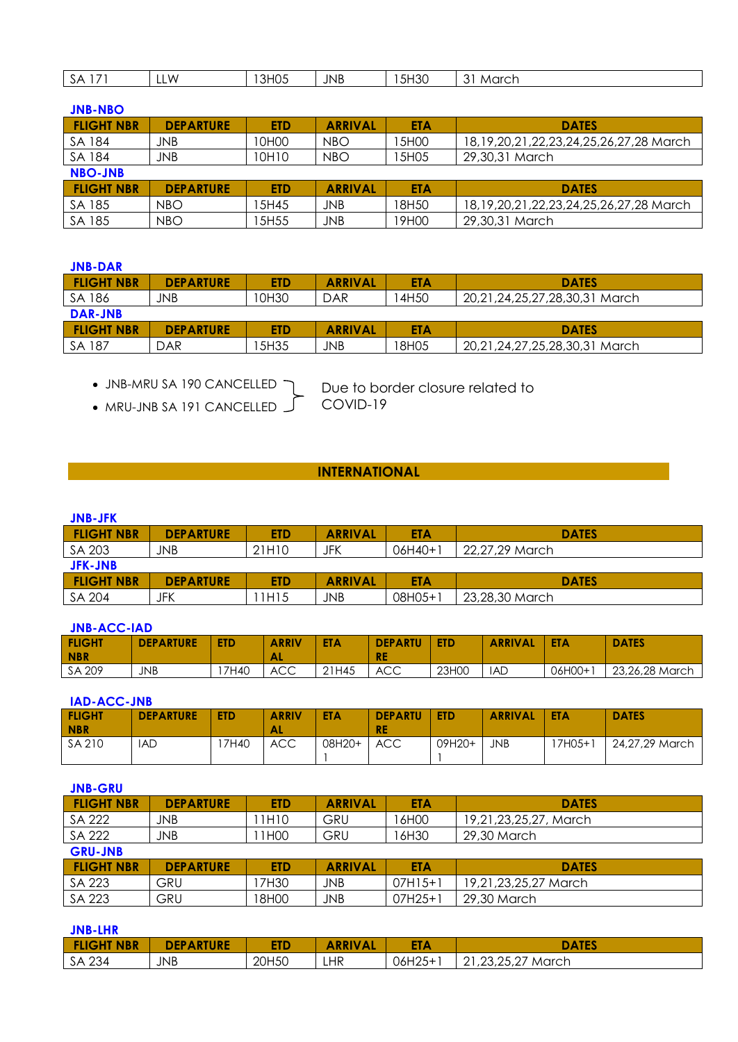| $\overline{\phantom{a}}$<br>$\mathbf{v}$<br>് ഗ | W<br>. | 3H05 | <b>JNB</b> | 5H30 | $\sim$<br>March |
|-------------------------------------------------|--------|------|------------|------|-----------------|
|                                                 |        |      |            |      |                 |

| <b>JNB-NBO</b>    |                  |                  |                |            |                                                  |  |  |  |  |  |
|-------------------|------------------|------------------|----------------|------------|--------------------------------------------------|--|--|--|--|--|
| <b>FLIGHT NBR</b> | <b>DEPARTURE</b> | <b>ETD</b>       | <b>ARRIVAL</b> | <b>ETA</b> | <b>DATES</b>                                     |  |  |  |  |  |
| SA 184            | JNB              | 10H00            | NBO            | 15H00      | 18, 19, 20, 21, 22, 23, 24, 25, 26, 27, 28 March |  |  |  |  |  |
| SA 184            | JNB              | 10H10            | <b>NBO</b>     | 15H05      | 29,30,31 March                                   |  |  |  |  |  |
| <b>NBO-JNB</b>    |                  |                  |                |            |                                                  |  |  |  |  |  |
| <b>FLIGHT NBR</b> | <b>DEPARTURE</b> | <b>ETD</b>       | <b>ARRIVAL</b> | <b>ETA</b> | <b>DATES</b>                                     |  |  |  |  |  |
| SA 185            | NBO              | 5H45             | JNB            | 18H50      | 18, 19, 20, 21, 22, 23, 24, 25, 26, 27, 28 March |  |  |  |  |  |
| SA 185            | <b>NBO</b>       | 5H <sub>55</sub> | JNB            | 19H00      | 29,30,31 March                                   |  |  |  |  |  |

| <b>JNB-DAR</b>    |                  |            |                |       |                               |  |  |
|-------------------|------------------|------------|----------------|-------|-------------------------------|--|--|
| <b>FLIGHT NBR</b> | <b>DEPARTURE</b> | <b>ETD</b> | <b>ARRIVAL</b> | ETA   | <b>DATES</b>                  |  |  |
| SA 186            | JNB              | 10H30      | DAR            | 4H50  | 20,21,24,25,27,28,30,31 March |  |  |
| DAR-JNB           |                  |            |                |       |                               |  |  |
| <b>FLIGHT NBR</b> | <b>DEPARTURE</b> | ETD.       | <b>ARRIVAL</b> | ETA   | <b>DATES</b>                  |  |  |
| SA 187            | DAR              | 5H35       | JNB.           | 18H05 | 20,21,24,27,25,28,30,31 March |  |  |

JNB-MRU SA 190 CANCELLED

• MRU-JNB SA 191 CANCELLED

Due to border closure related to COVID-19

## **INTERNATIONAL**

### **JNB-JFK**

| -------           |                  |       |                |            |                |  |  |  |
|-------------------|------------------|-------|----------------|------------|----------------|--|--|--|
| <b>FLIGHT NBR</b> | <b>DEPARTURE</b> | ETD   | <b>ARRIVAL</b> | <b>ETA</b> | <b>DATES</b>   |  |  |  |
| SA 203            | JNB              | 21H10 | JFK            | $06H40+1$  | 22,27,29 March |  |  |  |
| <b>JFK-JNB</b>    |                  |       |                |            |                |  |  |  |
| <b>FLIGHT NBR</b> | <b>DEPARTURE</b> | ETD   | <b>ARRIVAL</b> | <b>ETA</b> | <b>DATES</b>   |  |  |  |
| SA 204            | JFK              | 1H15  | JNB            | 08H05+1    | 23,28,30 March |  |  |  |

#### **JNB-ACC-IAD**

| <b>FLIGHT</b><br><b>NBR</b> | <b>DEPARTURE</b> | <b>ETD</b> | <b>ARRIV</b><br><b>VAL</b> | <b>ETA</b> | <b>DEPARTU</b><br><b>RE</b> | <b>ETD</b> | <b>ARRIVAL</b> | <b>ETA</b> | <b>DATES</b>   |
|-----------------------------|------------------|------------|----------------------------|------------|-----------------------------|------------|----------------|------------|----------------|
| SA 209                      | <b>JNB</b>       | 17H40      | <b>ACC</b>                 | 21H45      | <b>ACC</b>                  | 23H00      | <b>IAD</b>     | 06H00+1    | 23,26,28 March |

## **IAD-ACC-JNB**

| <b>FLIGHT</b><br><b>NBR</b> | <b>DEPARTURE</b> | <b>ETD</b> | <b>ARRIV</b><br>AL | <b>ETA</b> | <b>DEPARTU</b><br><b>RE</b> | <b>ETD</b> | <b>ARRIVAL</b> | <b>ETA</b>         | <b>DATES</b>   |
|-----------------------------|------------------|------------|--------------------|------------|-----------------------------|------------|----------------|--------------------|----------------|
| SA 210                      | IAD              | 7H40       | <b>ACC</b>         | 08H20+     | <b>ACC</b>                  | 09H20+     | <b>JNB</b>     | 7H05+ <sup>-</sup> | 24,27,29 March |

| <b>JNB-GRU</b>    |                  |            |                |            |                       |  |  |  |
|-------------------|------------------|------------|----------------|------------|-----------------------|--|--|--|
| <b>FLIGHT NBR</b> | <b>DEPARTURE</b> | <b>ETD</b> | <b>ARRIVAL</b> | <b>ETA</b> | <b>DATES</b>          |  |  |  |
| SA 222            | JNB              | 1H10       | GRU            | 16H00      | 19,21,23,25,27, March |  |  |  |
| SA 222            | JNB              | 1H00       | GRU            | 16H30      | 29,30 March           |  |  |  |
| <b>GRU-JNB</b>    |                  |            |                |            |                       |  |  |  |
| <b>FLIGHT NBR</b> | <b>DEPARTURE</b> | <b>ETD</b> | <b>ARRIVAL</b> | <b>ETA</b> | <b>DATES</b>          |  |  |  |
| SA 223            | GRU              | 7H30       | JNB.           | $07H15+1$  | 19,21,23,25,27 March  |  |  |  |
| SA 223            | GRU              | 18H00      | JNB            | $07H25+1$  | 29,30 March           |  |  |  |

## **JNB-LHR**

| <b>FLIGHT NBR</b> | TURE<br><b>DEPART</b> | ETD   | <b>ARRIV</b><br>'AL | <b>ETA</b> | <b>DATES</b>                                  |
|-------------------|-----------------------|-------|---------------------|------------|-----------------------------------------------|
| 234<br>SA         | JNB                   | 20H50 | LHR                 | 06H25+     | つろ つど<br>$\sim$<br>March<br>، ۱ے، ب۔ ب۔<br>∠⊣ |